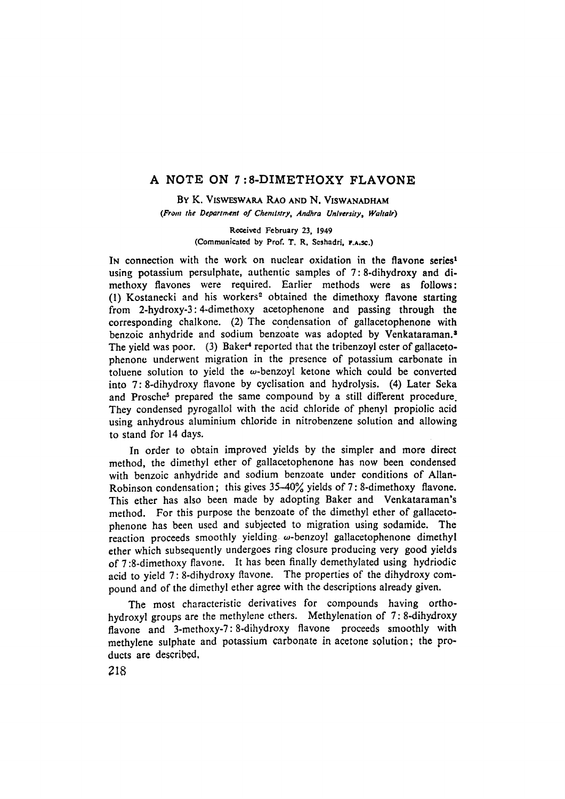# A NOTE ON 7:8-DIMETHOXY FLAVONE

BY K. VISWESWARA RAO AND N. VISWANADHAM *(From the Department of Chemlstry, Andhra Unlversity, Waltair)* 

> Received February 23, 1949 (Communicated by Prof. T. R. Seshadri, **F.A.sc.**)

IN connection with the work on nuclear oxidation in the flavone **series\***  using potassium persulphate, authentic samples of 7: 8-dihydroxy and dimethoxy flavones were required. Earlier methods were as follows: (1) Kostanecki and his workers<sup>2</sup> obtained the dimethoxy flavone starting from 2-hydroxy-3:4-dimethoxy acetophenone and passing through the corresponding chalkone. (2) The condensation of gallacetophenone with benzoic anhydride and sodium benzoate was adopted by Venkataraman.<sup>3</sup> The yield was poor. (3) Baker<sup>4</sup> reported that the tribenzoyl ester of gallacetophenone underwent migration in the presence of potassium carbonate in toluene solution to yield the  $\omega$ -benzoyl ketone which could be converted into 7: 8-dihydroxy flavone by cyclisation and hydrolysis. (4) Later Seka and Prosche<sup>5</sup> prepared the same compound by a still different procedure. They condensed pyrogallol with the acid chloride of phenyl propiolic acid using anhydrous aluminium chloride in nitrobenzene solution and allowing to stand for 14 days.

In order to obtain improved yields by the simpler and more direct method, the dimethyl ether of gallacetophenone has now been condensed with benzoic anhydride and sodium benzoate under conditions of Allan-Robinson condensation; this gives  $35-40\%$  yields of 7:8-dimethoxy flavone. This ether has also been made by adopting Baker and Venkataraman's method. For this purpose the benzoate of the dimethyl ether of gallacetophenone has been used and subjected to migration using sodamide. The reaction proceeds smoothly yielding  $\omega$ -benzoyl gallacetophenone dimethyl ether which subsequently undergoes ring closure producing very good yields of 7:8-dimethoxy flavone. It has been finally demethylated using hydriodic acid to yield 7: 8-dihydroxy flavone. The properties of the dihydroxy compound and of the dimethyl ether agree with the descriptions already given.

The most characteristic derivatives for compounds having orthohydroxyl groups are the methylene ethers. Methylenation of 7: 8-dihydroxy flavone and 3-methoxy-7: 8-dihydroxy flavone proceeds smoothly with methylene sulphate and potassium carbonate in acetone solution; the products are described.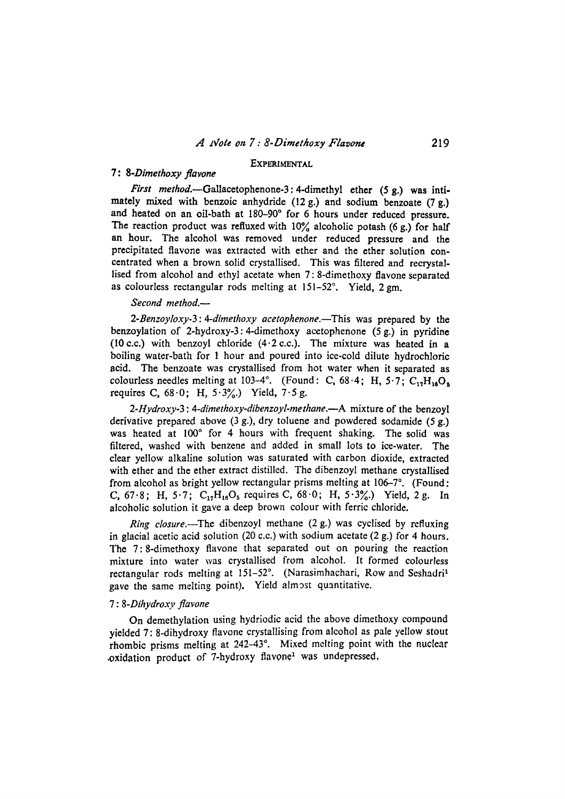# EXPERIMENTAL

# 7: *8-Dimethoxy flavone*

*First method.*—Gallacetophenone-3: 4-dimethyl ether (5 g.) was intimately mixed with benzoic anhydride  $(12 g)$  and sodium benzoate  $(7 g)$ . and heated on an oil-bath at 180-90° for 6 hours under reduced pressure. The reaction product was refluxed with  $10\%$  alcoholic potash (6 g.) for half an hour. The alcohol was removed under reduced pressure and the precipitated flavone was extracted with ether and the ether solution concentrated when a brown solid crystallised. This was filtered and recrystallised from alcohol and ethyl acetate when 7: 8-dimethoxy flavone separated as colourless rectangular rods melting at  $151-52^\circ$ . Yield,  $2 \text{ gm}$ .

### *Second method.--*

*2-Benzoyloxy-3:4-dimethoxy acetophenone.--This* was prepared by the benzoylation of 2-hydroxy-3: 4-dimethoxy acetophenone (5 g.) in pyridine (10 c.c.) with benzoyl chloride  $(4.2$  c.c.). The mixture was heated in a boiling water-bath for 1 hour and poured into ice-cold dilute hydrochloric aeid. The benzoate was crystallised from hot water when it separated as colourless needles melting at 103-4°. (Found: C,  $68.4$ ; H,  $5.7$ ; C<sub>17</sub>H<sub>14</sub>O<sub>s</sub> requires C,  $68.0$ ; H,  $5.3\%$ .) Yield,  $7.5$  g.

*2-Hydroxy-3 : 4-dimethoxy-dibenzoyl-methane.--A* mixture of the benzoyl derivative prepared above (3 g.), dry toluene and powdered sodamide (5 g.) was heated at 100° for 4 hours with frequent shaking. The solid was filtered, washed with benzene and added in small lots to ice-water. The clear yellow alkaline solution was saturated with carbon dioxide, extracted with ether and the ether extract distilled. The dibenzoyl methane crystallised from alcohol as bright yellow rectangular prisms melting at  $106-7$ °. (Found: C, 67.8; H, 5.7;  $C_{17}H_{16}O_5$  requires C, 68.0; H, 5.3%.) Yield, 2g. In alcoholic solution it gave a deep brown colour with ferric chloride.

*Ring closure.--The* dibenzoyl methane (2 g.) was cyclised by refluxing in glacial acetic acid solution (20 c.c.) with sodium acetate  $(2 g.)$  for 4 hours. The 7:8-dimethoxy flavone that separated out on pouring the reaction mixture into water was crystallised from alcohol. It formed colourless rectangular rods melting at  $151-52^\circ$ . (Narasimhachari, Row and Seshadri<sup>1</sup> gave the same melting point). Yield almost quantitative.

### *7 : 8-Dihydroxy flavone*

On demethylation using hydriodic acid the above dimethoxy compound yielded 7: 8-dihydroxy flavone crystallising from alcohol as pale yellow stout rhombic prisms melting at  $242-43^\circ$ . Mixed melting point with the nuclear .oxidation product of 7-hydroxy flavone<sup>1</sup> was undepressed,